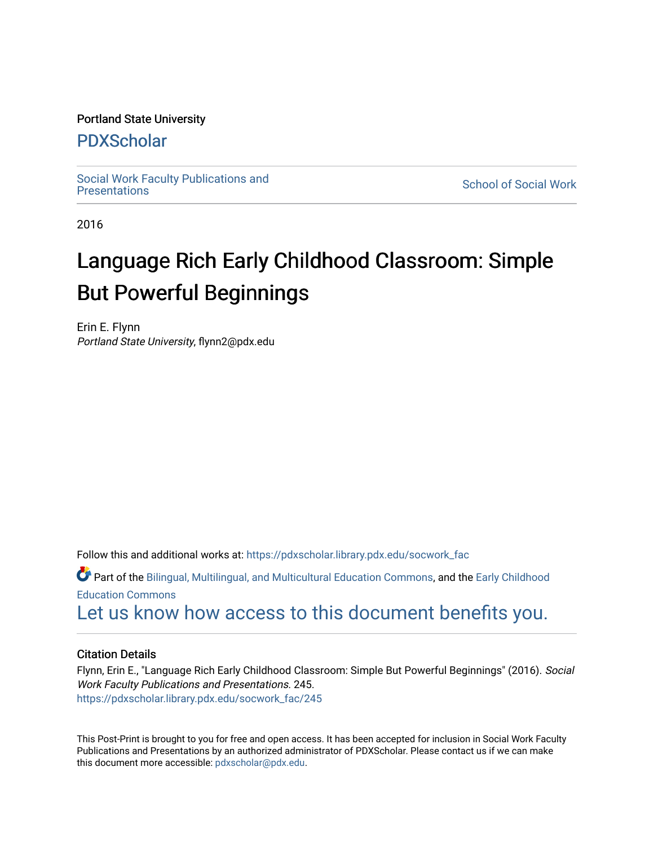## Portland State University

## [PDXScholar](https://pdxscholar.library.pdx.edu/)

Social Work Faculty Publications and<br>Presentations

**School of Social Work** 

2016

# Language Rich Early Childhood Classroom: Simple But Powerful Beginnings

Erin E. Flynn Portland State University, flynn2@pdx.edu

Follow this and additional works at: [https://pdxscholar.library.pdx.edu/socwork\\_fac](https://pdxscholar.library.pdx.edu/socwork_fac?utm_source=pdxscholar.library.pdx.edu%2Fsocwork_fac%2F245&utm_medium=PDF&utm_campaign=PDFCoverPages) 

Part of the [Bilingual, Multilingual, and Multicultural Education Commons,](http://network.bepress.com/hgg/discipline/785?utm_source=pdxscholar.library.pdx.edu%2Fsocwork_fac%2F245&utm_medium=PDF&utm_campaign=PDFCoverPages) and the [Early Childhood](http://network.bepress.com/hgg/discipline/1377?utm_source=pdxscholar.library.pdx.edu%2Fsocwork_fac%2F245&utm_medium=PDF&utm_campaign=PDFCoverPages)  [Education Commons](http://network.bepress.com/hgg/discipline/1377?utm_source=pdxscholar.library.pdx.edu%2Fsocwork_fac%2F245&utm_medium=PDF&utm_campaign=PDFCoverPages) 

[Let us know how access to this document benefits you.](http://library.pdx.edu/services/pdxscholar-services/pdxscholar-feedback/?ref=https://pdxscholar.library.pdx.edu/socwork_fac/245) 

## Citation Details

Flynn, Erin E., "Language Rich Early Childhood Classroom: Simple But Powerful Beginnings" (2016). Social Work Faculty Publications and Presentations. 245. [https://pdxscholar.library.pdx.edu/socwork\\_fac/245](https://pdxscholar.library.pdx.edu/socwork_fac/245?utm_source=pdxscholar.library.pdx.edu%2Fsocwork_fac%2F245&utm_medium=PDF&utm_campaign=PDFCoverPages) 

This Post-Print is brought to you for free and open access. It has been accepted for inclusion in Social Work Faculty Publications and Presentations by an authorized administrator of PDXScholar. Please contact us if we can make this document more accessible: [pdxscholar@pdx.edu.](mailto:pdxscholar@pdx.edu)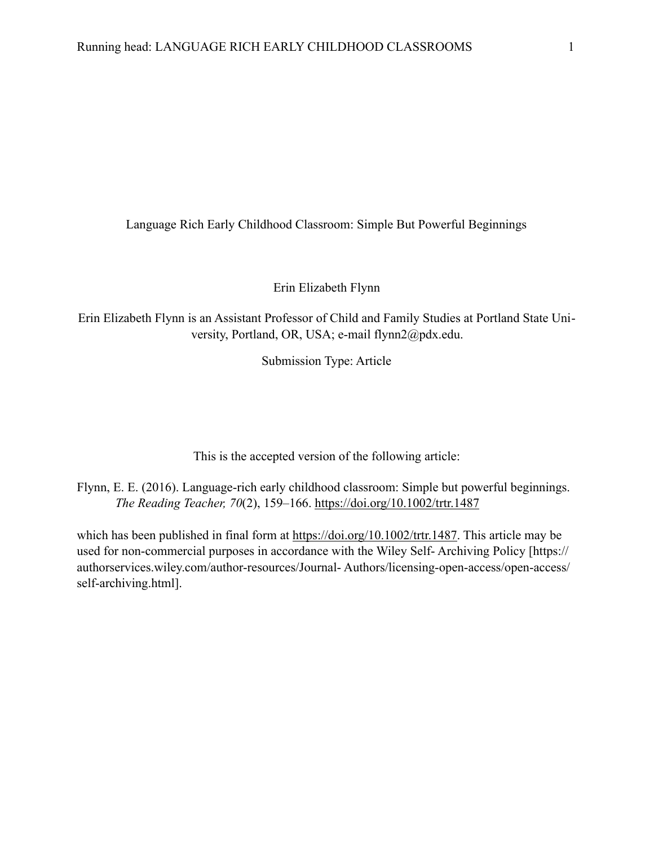Language Rich Early Childhood Classroom: Simple But Powerful Beginnings

Erin Elizabeth Flynn

Erin Elizabeth Flynn is an Assistant Professor of Child and Family Studies at Portland State University, Portland, OR, USA; e-mail flynn2@pdx.edu.

Submission Type: Article

This is the accepted version of the following article:

Flynn, E. E. (2016). Language-rich early childhood classroom: Simple but powerful beginnings. *The Reading Teacher, 70*(2), 159–166. <https://doi.org/10.1002/trtr.1487>

which has been published in final form at <https://doi.org/10.1002/trtr.1487>. This article may be used for non-commercial purposes in accordance with the Wiley Self- Archiving Policy [https:// authorservices.wiley.com/author-resources/Journal- Authors/licensing-open-access/open-access/ self-archiving.html].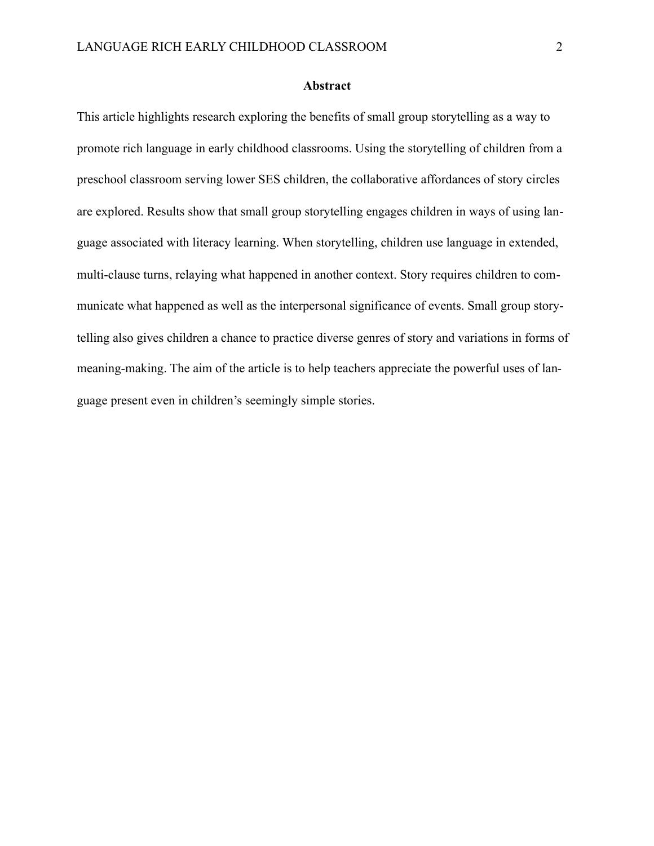#### **Abstract**

This article highlights research exploring the benefits of small group storytelling as a way to promote rich language in early childhood classrooms. Using the storytelling of children from a preschool classroom serving lower SES children, the collaborative affordances of story circles are explored. Results show that small group storytelling engages children in ways of using language associated with literacy learning. When storytelling, children use language in extended, multi-clause turns, relaying what happened in another context. Story requires children to communicate what happened as well as the interpersonal significance of events. Small group storytelling also gives children a chance to practice diverse genres of story and variations in forms of meaning-making. The aim of the article is to help teachers appreciate the powerful uses of language present even in children's seemingly simple stories.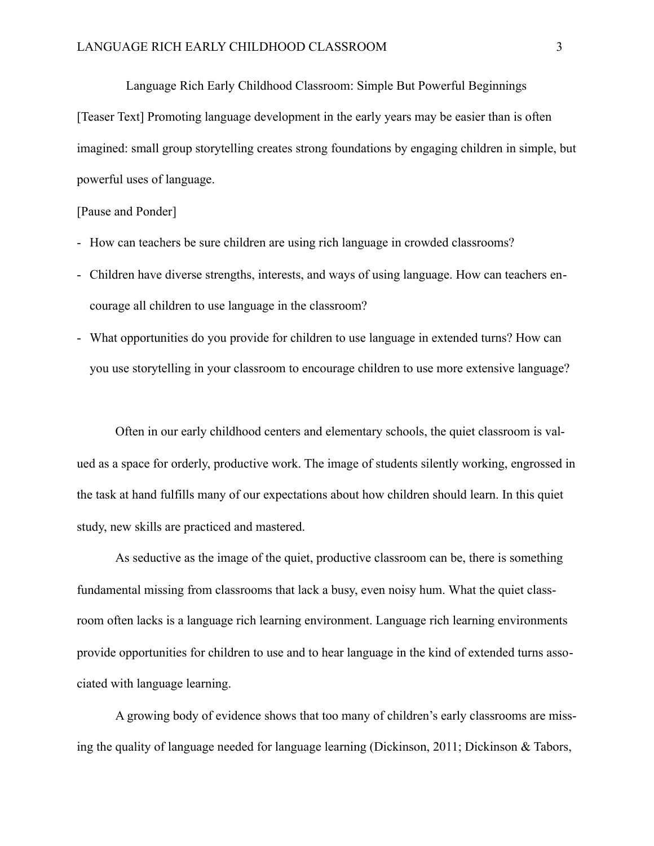Language Rich Early Childhood Classroom: Simple But Powerful Beginnings

[Teaser Text] Promoting language development in the early years may be easier than is often imagined: small group storytelling creates strong foundations by engaging children in simple, but powerful uses of language.

## [Pause and Ponder]

- How can teachers be sure children are using rich language in crowded classrooms?
- Children have diverse strengths, interests, and ways of using language. How can teachers encourage all children to use language in the classroom?
- What opportunities do you provide for children to use language in extended turns? How can you use storytelling in your classroom to encourage children to use more extensive language?

 Often in our early childhood centers and elementary schools, the quiet classroom is valued as a space for orderly, productive work. The image of students silently working, engrossed in the task at hand fulfills many of our expectations about how children should learn. In this quiet study, new skills are practiced and mastered.

 As seductive as the image of the quiet, productive classroom can be, there is something fundamental missing from classrooms that lack a busy, even noisy hum. What the quiet classroom often lacks is a language rich learning environment. Language rich learning environments provide opportunities for children to use and to hear language in the kind of extended turns associated with language learning.

 A growing body of evidence shows that too many of children's early classrooms are missing the quality of language needed for language learning (Dickinson, 2011; Dickinson & Tabors,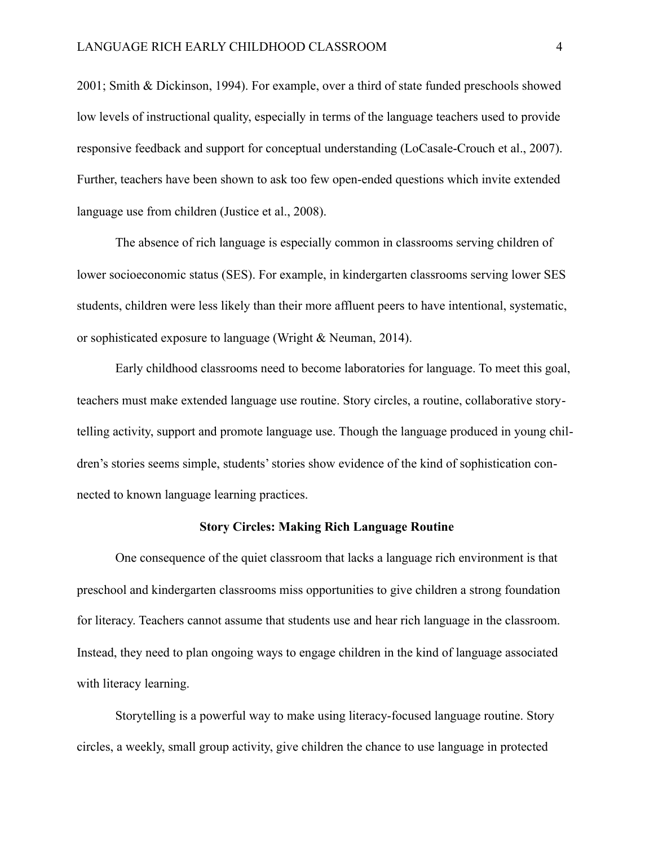2001; Smith & Dickinson, 1994). For example, over a third of state funded preschools showed low levels of instructional quality, especially in terms of the language teachers used to provide responsive feedback and support for conceptual understanding (LoCasale-Crouch et al., 2007). Further, teachers have been shown to ask too few open-ended questions which invite extended language use from children (Justice et al., 2008).

 The absence of rich language is especially common in classrooms serving children of lower socioeconomic status (SES). For example, in kindergarten classrooms serving lower SES students, children were less likely than their more affluent peers to have intentional, systematic, or sophisticated exposure to language (Wright & Neuman, 2014).

 Early childhood classrooms need to become laboratories for language. To meet this goal, teachers must make extended language use routine. Story circles, a routine, collaborative storytelling activity, support and promote language use. Though the language produced in young children's stories seems simple, students' stories show evidence of the kind of sophistication connected to known language learning practices.

## **Story Circles: Making Rich Language Routine**

 One consequence of the quiet classroom that lacks a language rich environment is that preschool and kindergarten classrooms miss opportunities to give children a strong foundation for literacy. Teachers cannot assume that students use and hear rich language in the classroom. Instead, they need to plan ongoing ways to engage children in the kind of language associated with literacy learning.

 Storytelling is a powerful way to make using literacy-focused language routine. Story circles, a weekly, small group activity, give children the chance to use language in protected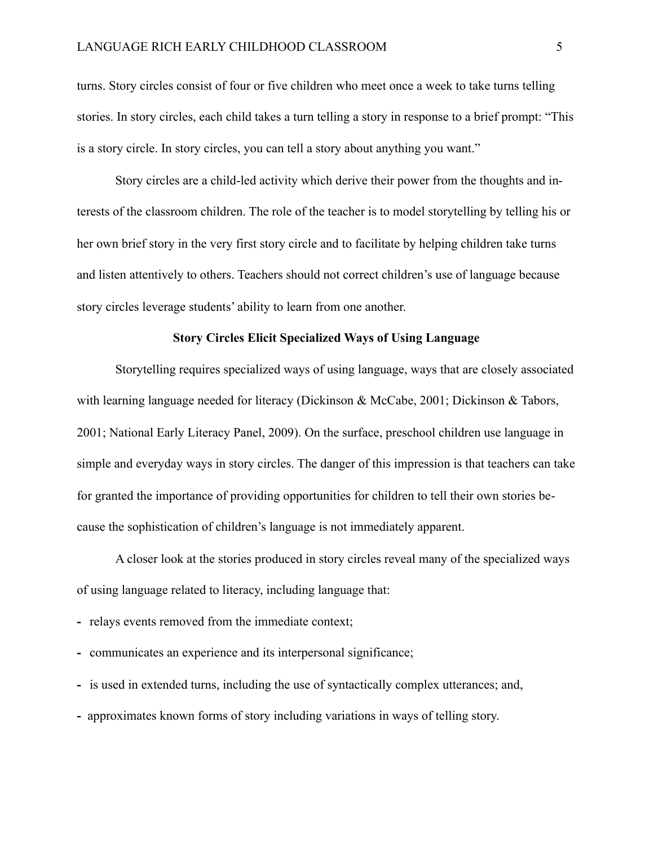turns. Story circles consist of four or five children who meet once a week to take turns telling stories. In story circles, each child takes a turn telling a story in response to a brief prompt: "This is a story circle. In story circles, you can tell a story about anything you want."

 Story circles are a child-led activity which derive their power from the thoughts and interests of the classroom children. The role of the teacher is to model storytelling by telling his or her own brief story in the very first story circle and to facilitate by helping children take turns and listen attentively to others. Teachers should not correct children's use of language because story circles leverage students' ability to learn from one another.

#### **Story Circles Elicit Specialized Ways of Using Language**

Storytelling requires specialized ways of using language, ways that are closely associated with learning language needed for literacy (Dickinson & McCabe, 2001; Dickinson & Tabors, 2001; National Early Literacy Panel, 2009). On the surface, preschool children use language in simple and everyday ways in story circles. The danger of this impression is that teachers can take for granted the importance of providing opportunities for children to tell their own stories because the sophistication of children's language is not immediately apparent.

 A closer look at the stories produced in story circles reveal many of the specialized ways of using language related to literacy, including language that:

- **-** relays events removed from the immediate context;
- **-** communicates an experience and its interpersonal significance;
- **-** is used in extended turns, including the use of syntactically complex utterances; and,
- **-** approximates known forms of story including variations in ways of telling story.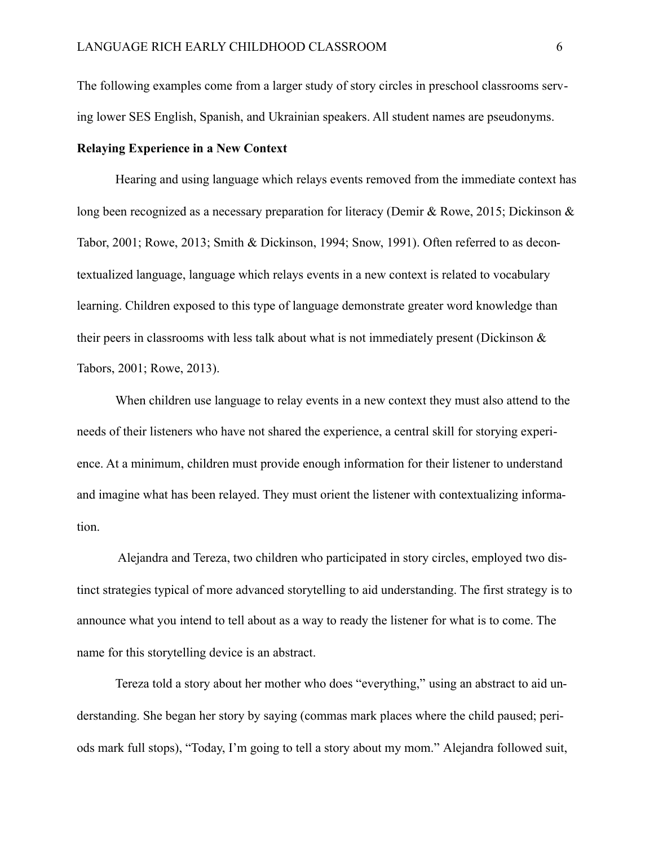The following examples come from a larger study of story circles in preschool classrooms serving lower SES English, Spanish, and Ukrainian speakers. All student names are pseudonyms.

## **Relaying Experience in a New Context**

 Hearing and using language which relays events removed from the immediate context has long been recognized as a necessary preparation for literacy (Demir & Rowe, 2015; Dickinson & Tabor, 2001; Rowe, 2013; Smith & Dickinson, 1994; Snow, 1991). Often referred to as decontextualized language, language which relays events in a new context is related to vocabulary learning. Children exposed to this type of language demonstrate greater word knowledge than their peers in classrooms with less talk about what is not immediately present (Dickinson & Tabors, 2001; Rowe, 2013).

 When children use language to relay events in a new context they must also attend to the needs of their listeners who have not shared the experience, a central skill for storying experience. At a minimum, children must provide enough information for their listener to understand and imagine what has been relayed. They must orient the listener with contextualizing information.

 Alejandra and Tereza, two children who participated in story circles, employed two distinct strategies typical of more advanced storytelling to aid understanding. The first strategy is to announce what you intend to tell about as a way to ready the listener for what is to come. The name for this storytelling device is an abstract.

 Tereza told a story about her mother who does "everything," using an abstract to aid understanding. She began her story by saying (commas mark places where the child paused; periods mark full stops), "Today, I'm going to tell a story about my mom." Alejandra followed suit,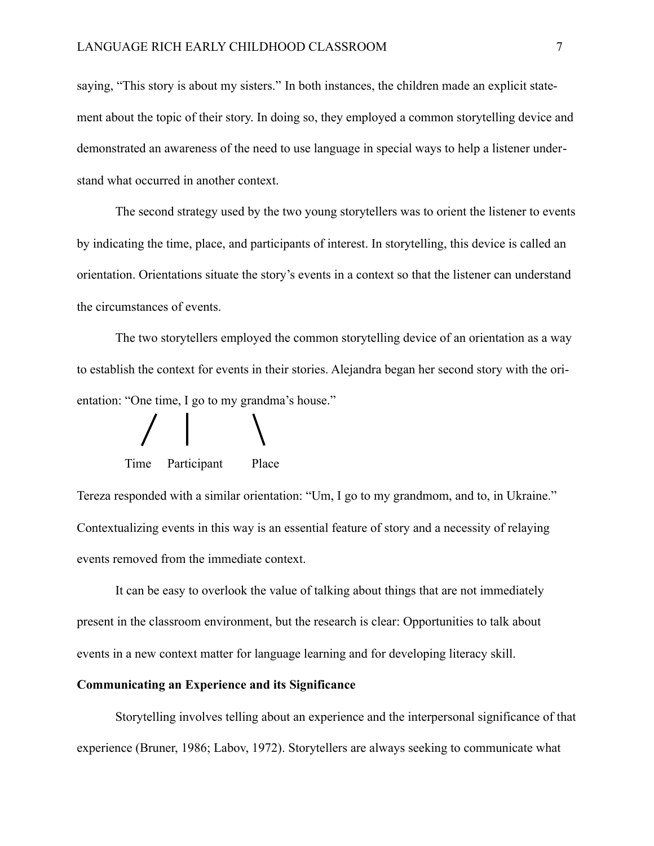saying, "This story is about my sisters." In both instances, the children made an explicit statement about the topic of their story. In doing so, they employed a common storytelling device and demonstrated an awareness of the need to use language in special ways to help a listener understand what occurred in another context.

 The second strategy used by the two young storytellers was to orient the listener to events by indicating the time, place, and participants of interest. In storytelling, this device is called an orientation. Orientations situate the story's events in a context so that the listener can understand the circumstances of events.

 The two storytellers employed the common storytelling device of an orientation as a way to establish the context for events in their stories. Alejandra began her second story with the orientation: "One time, I go to my grandma's house."

Time Participant Place

Tereza responded with a similar orientation: "Um, I go to my grandmom, and to, in Ukraine." Contextualizing events in this way is an essential feature of story and a necessity of relaying events removed from the immediate context.

 It can be easy to overlook the value of talking about things that are not immediately present in the classroom environment, but the research is clear: Opportunities to talk about events in a new context matter for language learning and for developing literacy skill.

#### **Communicating an Experience and its Significance**

 Storytelling involves telling about an experience and the interpersonal significance of that experience (Bruner, 1986; Labov, 1972). Storytellers are always seeking to communicate what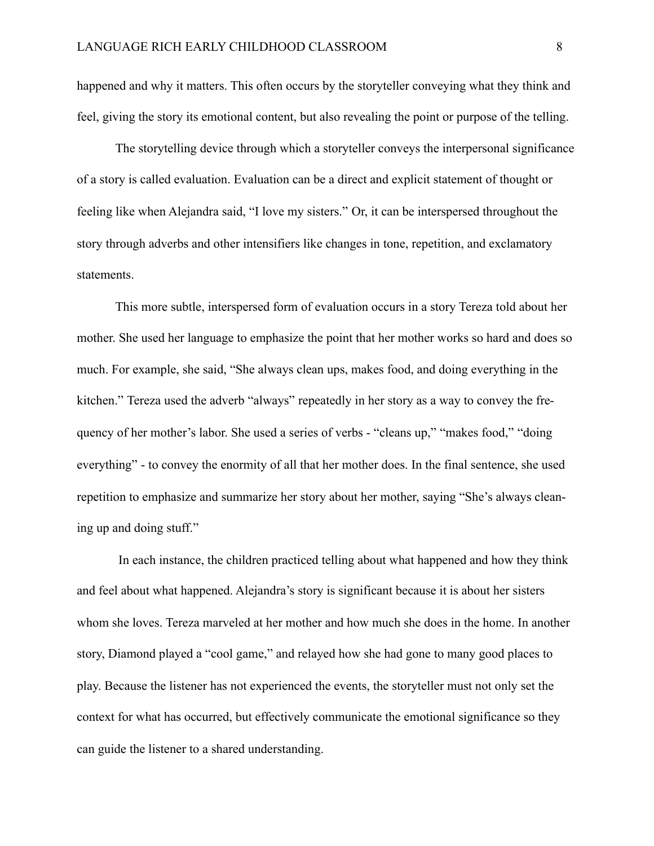happened and why it matters. This often occurs by the storyteller conveying what they think and feel, giving the story its emotional content, but also revealing the point or purpose of the telling.

 The storytelling device through which a storyteller conveys the interpersonal significance of a story is called evaluation. Evaluation can be a direct and explicit statement of thought or feeling like when Alejandra said, "I love my sisters." Or, it can be interspersed throughout the story through adverbs and other intensifiers like changes in tone, repetition, and exclamatory statements.

 This more subtle, interspersed form of evaluation occurs in a story Tereza told about her mother. She used her language to emphasize the point that her mother works so hard and does so much. For example, she said, "She always clean ups, makes food, and doing everything in the kitchen." Tereza used the adverb "always" repeatedly in her story as a way to convey the frequency of her mother's labor. She used a series of verbs - "cleans up," "makes food," "doing everything" - to convey the enormity of all that her mother does. In the final sentence, she used repetition to emphasize and summarize her story about her mother, saying "She's always cleaning up and doing stuff."

 In each instance, the children practiced telling about what happened and how they think and feel about what happened. Alejandra's story is significant because it is about her sisters whom she loves. Tereza marveled at her mother and how much she does in the home. In another story, Diamond played a "cool game," and relayed how she had gone to many good places to play. Because the listener has not experienced the events, the storyteller must not only set the context for what has occurred, but effectively communicate the emotional significance so they can guide the listener to a shared understanding.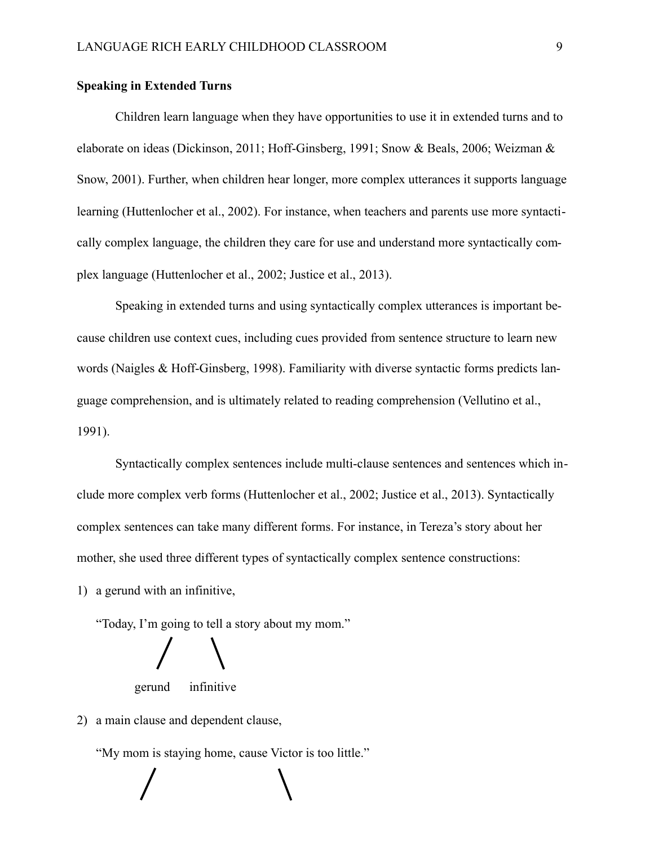#### **Speaking in Extended Turns**

 Children learn language when they have opportunities to use it in extended turns and to elaborate on ideas (Dickinson, 2011; Hoff-Ginsberg, 1991; Snow & Beals, 2006; Weizman & Snow, 2001). Further, when children hear longer, more complex utterances it supports language learning (Huttenlocher et al., 2002). For instance, when teachers and parents use more syntactically complex language, the children they care for use and understand more syntactically complex language (Huttenlocher et al., 2002; Justice et al., 2013).

 Speaking in extended turns and using syntactically complex utterances is important because children use context cues, including cues provided from sentence structure to learn new words (Naigles & Hoff-Ginsberg, 1998). Familiarity with diverse syntactic forms predicts language comprehension, and is ultimately related to reading comprehension (Vellutino et al., 1991).

 Syntactically complex sentences include multi-clause sentences and sentences which include more complex verb forms (Huttenlocher et al., 2002; Justice et al., 2013). Syntactically complex sentences can take many different forms. For instance, in Tereza's story about her mother, she used three different types of syntactically complex sentence constructions:

1) a gerund with an infinitive,

"Today, I'm going to tell a story about my mom."



gerund infinitive

2) a main clause and dependent clause,

"My mom is staying home, cause Victor is too little."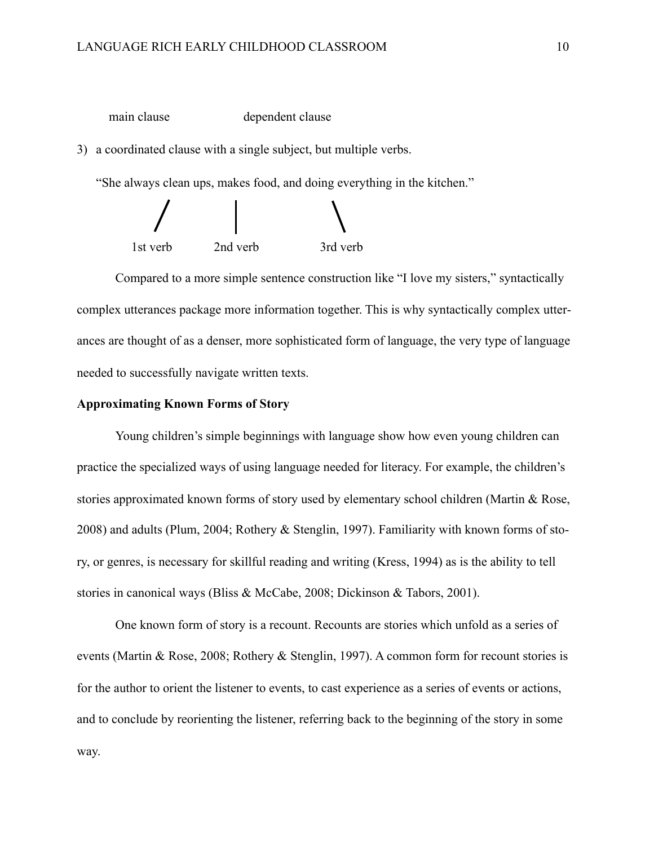main clause dependent clause

3) a coordinated clause with a single subject, but multiple verbs.

"She always clean ups, makes food, and doing everything in the kitchen."



 Compared to a more simple sentence construction like "I love my sisters," syntactically complex utterances package more information together. This is why syntactically complex utterances are thought of as a denser, more sophisticated form of language, the very type of language needed to successfully navigate written texts.

#### **Approximating Known Forms of Story**

 Young children's simple beginnings with language show how even young children can practice the specialized ways of using language needed for literacy. For example, the children's stories approximated known forms of story used by elementary school children (Martin & Rose, 2008) and adults (Plum, 2004; Rothery & Stenglin, 1997). Familiarity with known forms of story, or genres, is necessary for skillful reading and writing (Kress, 1994) as is the ability to tell stories in canonical ways (Bliss & McCabe, 2008; Dickinson & Tabors, 2001).

 One known form of story is a recount. Recounts are stories which unfold as a series of events (Martin & Rose, 2008; Rothery & Stenglin, 1997). A common form for recount stories is for the author to orient the listener to events, to cast experience as a series of events or actions, and to conclude by reorienting the listener, referring back to the beginning of the story in some way.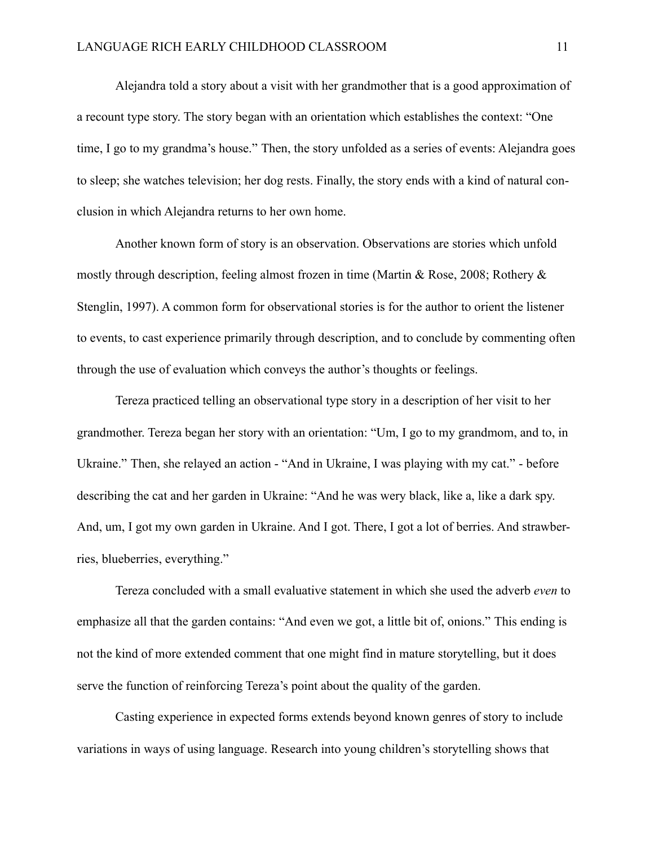Alejandra told a story about a visit with her grandmother that is a good approximation of a recount type story. The story began with an orientation which establishes the context: "One time, I go to my grandma's house." Then, the story unfolded as a series of events: Alejandra goes to sleep; she watches television; her dog rests. Finally, the story ends with a kind of natural conclusion in which Alejandra returns to her own home.

 Another known form of story is an observation. Observations are stories which unfold mostly through description, feeling almost frozen in time (Martin & Rose, 2008; Rothery & Stenglin, 1997). A common form for observational stories is for the author to orient the listener to events, to cast experience primarily through description, and to conclude by commenting often through the use of evaluation which conveys the author's thoughts or feelings.

 Tereza practiced telling an observational type story in a description of her visit to her grandmother. Tereza began her story with an orientation: "Um, I go to my grandmom, and to, in Ukraine." Then, she relayed an action - "And in Ukraine, I was playing with my cat." - before describing the cat and her garden in Ukraine: "And he was wery black, like a, like a dark spy. And, um, I got my own garden in Ukraine. And I got. There, I got a lot of berries. And strawberries, blueberries, everything."

 Tereza concluded with a small evaluative statement in which she used the adverb *even* to emphasize all that the garden contains: "And even we got, a little bit of, onions." This ending is not the kind of more extended comment that one might find in mature storytelling, but it does serve the function of reinforcing Tereza's point about the quality of the garden.

 Casting experience in expected forms extends beyond known genres of story to include variations in ways of using language. Research into young children's storytelling shows that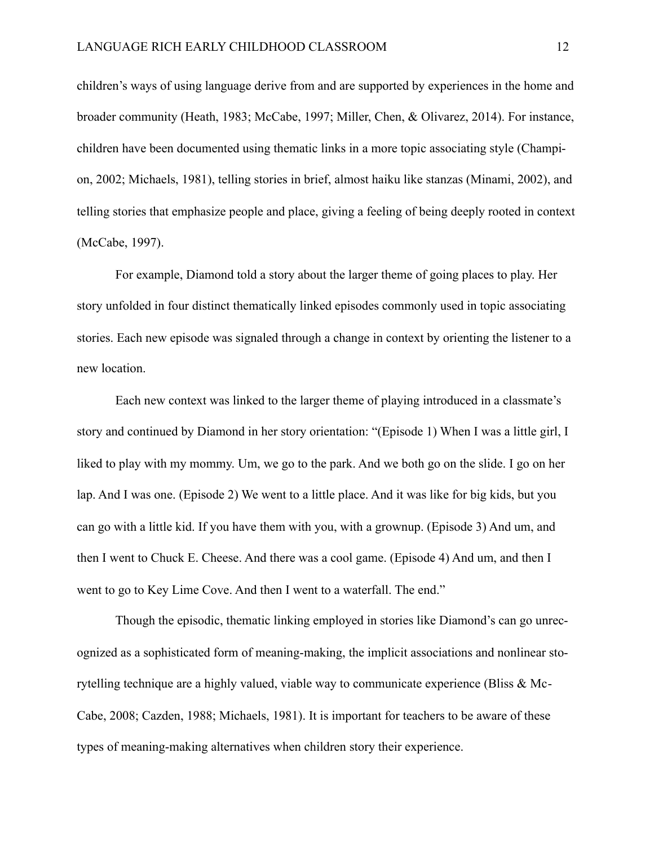children's ways of using language derive from and are supported by experiences in the home and broader community (Heath, 1983; McCabe, 1997; Miller, Chen, & Olivarez, 2014). For instance, children have been documented using thematic links in a more topic associating style (Champion, 2002; Michaels, 1981), telling stories in brief, almost haiku like stanzas (Minami, 2002), and telling stories that emphasize people and place, giving a feeling of being deeply rooted in context (McCabe, 1997).

 For example, Diamond told a story about the larger theme of going places to play. Her story unfolded in four distinct thematically linked episodes commonly used in topic associating stories. Each new episode was signaled through a change in context by orienting the listener to a new location.

 Each new context was linked to the larger theme of playing introduced in a classmate's story and continued by Diamond in her story orientation: "(Episode 1) When I was a little girl, I liked to play with my mommy. Um, we go to the park. And we both go on the slide. I go on her lap. And I was one. (Episode 2) We went to a little place. And it was like for big kids, but you can go with a little kid. If you have them with you, with a grownup. (Episode 3) And um, and then I went to Chuck E. Cheese. And there was a cool game. (Episode 4) And um, and then I went to go to Key Lime Cove. And then I went to a waterfall. The end."

 Though the episodic, thematic linking employed in stories like Diamond's can go unrecognized as a sophisticated form of meaning-making, the implicit associations and nonlinear storytelling technique are a highly valued, viable way to communicate experience (Bliss & Mc-Cabe, 2008; Cazden, 1988; Michaels, 1981). It is important for teachers to be aware of these types of meaning-making alternatives when children story their experience.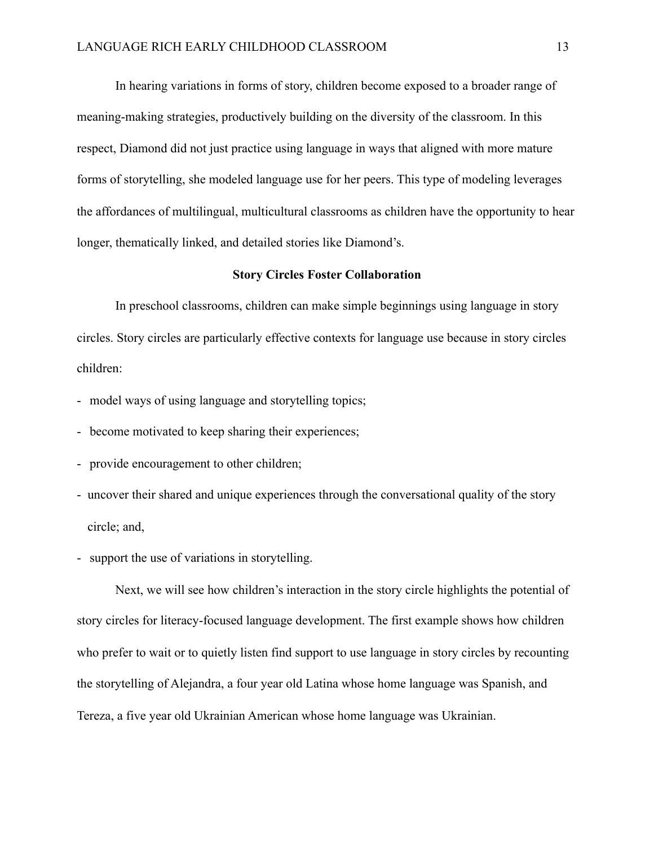In hearing variations in forms of story, children become exposed to a broader range of meaning-making strategies, productively building on the diversity of the classroom. In this respect, Diamond did not just practice using language in ways that aligned with more mature forms of storytelling, she modeled language use for her peers. This type of modeling leverages the affordances of multilingual, multicultural classrooms as children have the opportunity to hear longer, thematically linked, and detailed stories like Diamond's.

#### **Story Circles Foster Collaboration**

 In preschool classrooms, children can make simple beginnings using language in story circles. Story circles are particularly effective contexts for language use because in story circles children:

- model ways of using language and storytelling topics;
- become motivated to keep sharing their experiences;
- provide encouragement to other children;
- uncover their shared and unique experiences through the conversational quality of the story circle; and,
- support the use of variations in storytelling.

Next, we will see how children's interaction in the story circle highlights the potential of story circles for literacy-focused language development. The first example shows how children who prefer to wait or to quietly listen find support to use language in story circles by recounting the storytelling of Alejandra, a four year old Latina whose home language was Spanish, and Tereza, a five year old Ukrainian American whose home language was Ukrainian.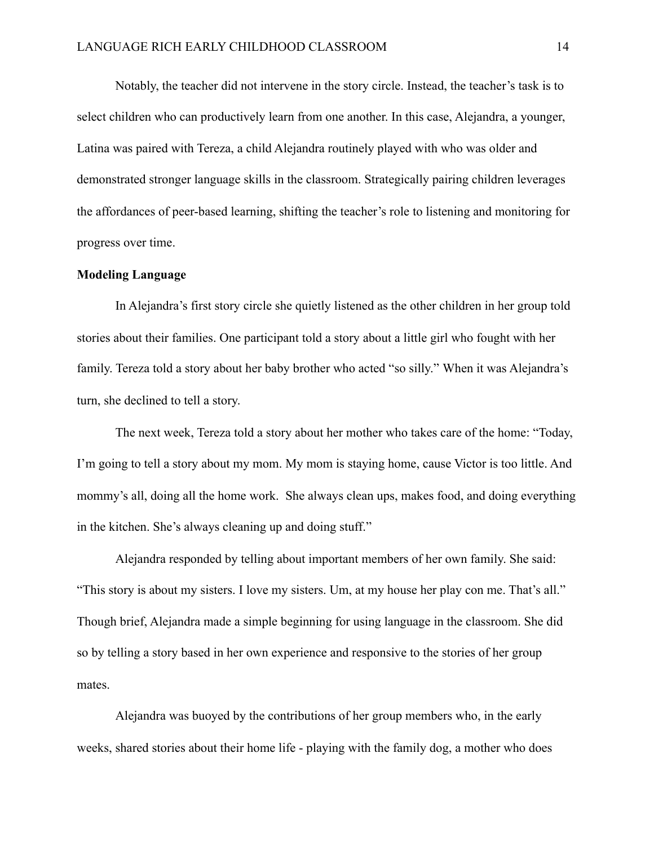Notably, the teacher did not intervene in the story circle. Instead, the teacher's task is to select children who can productively learn from one another. In this case, Alejandra, a younger, Latina was paired with Tereza, a child Alejandra routinely played with who was older and demonstrated stronger language skills in the classroom. Strategically pairing children leverages the affordances of peer-based learning, shifting the teacher's role to listening and monitoring for progress over time.

#### **Modeling Language**

In Alejandra's first story circle she quietly listened as the other children in her group told stories about their families. One participant told a story about a little girl who fought with her family. Tereza told a story about her baby brother who acted "so silly." When it was Alejandra's turn, she declined to tell a story.

 The next week, Tereza told a story about her mother who takes care of the home: "Today, I'm going to tell a story about my mom. My mom is staying home, cause Victor is too little. And mommy's all, doing all the home work. She always clean ups, makes food, and doing everything in the kitchen. She's always cleaning up and doing stuff."

 Alejandra responded by telling about important members of her own family. She said: "This story is about my sisters. I love my sisters. Um, at my house her play con me. That's all." Though brief, Alejandra made a simple beginning for using language in the classroom. She did so by telling a story based in her own experience and responsive to the stories of her group mates.

 Alejandra was buoyed by the contributions of her group members who, in the early weeks, shared stories about their home life - playing with the family dog, a mother who does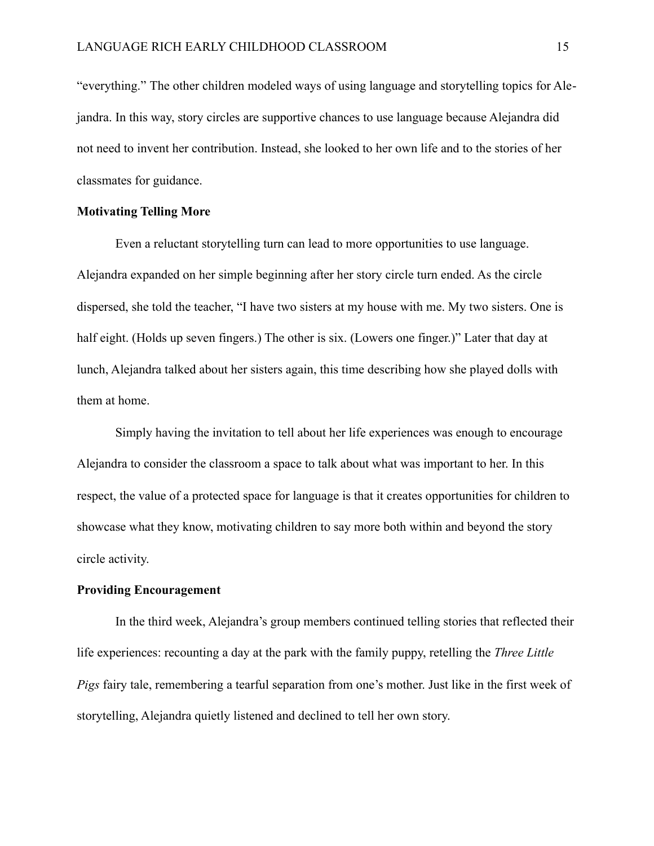"everything." The other children modeled ways of using language and storytelling topics for Alejandra. In this way, story circles are supportive chances to use language because Alejandra did not need to invent her contribution. Instead, she looked to her own life and to the stories of her classmates for guidance.

## **Motivating Telling More**

 Even a reluctant storytelling turn can lead to more opportunities to use language. Alejandra expanded on her simple beginning after her story circle turn ended. As the circle dispersed, she told the teacher, "I have two sisters at my house with me. My two sisters. One is half eight. (Holds up seven fingers.) The other is six. (Lowers one finger.)" Later that day at lunch, Alejandra talked about her sisters again, this time describing how she played dolls with them at home.

 Simply having the invitation to tell about her life experiences was enough to encourage Alejandra to consider the classroom a space to talk about what was important to her. In this respect, the value of a protected space for language is that it creates opportunities for children to showcase what they know, motivating children to say more both within and beyond the story circle activity.

#### **Providing Encouragement**

 In the third week, Alejandra's group members continued telling stories that reflected their life experiences: recounting a day at the park with the family puppy, retelling the *Three Little Pigs* fairy tale, remembering a tearful separation from one's mother. Just like in the first week of storytelling, Alejandra quietly listened and declined to tell her own story.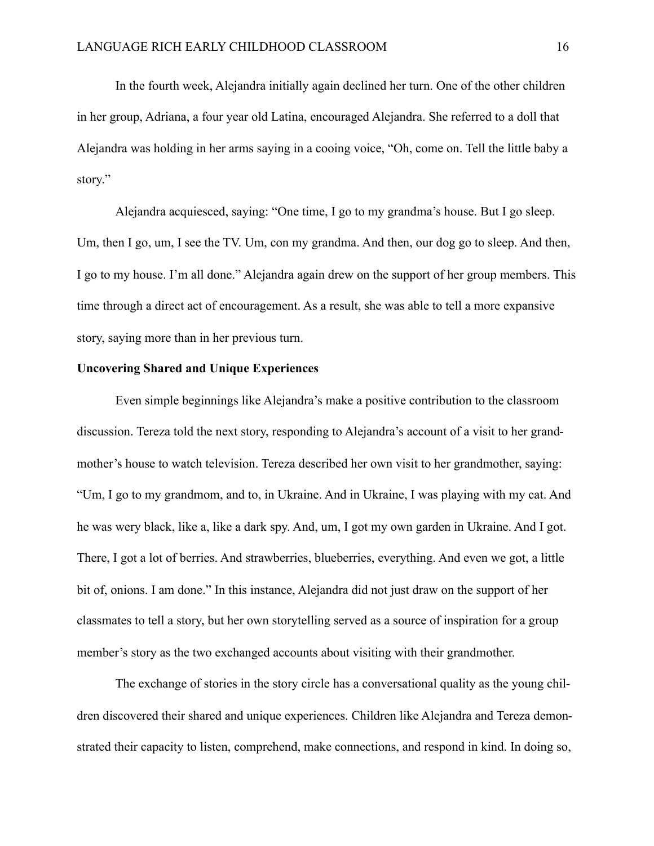In the fourth week, Alejandra initially again declined her turn. One of the other children in her group, Adriana, a four year old Latina, encouraged Alejandra. She referred to a doll that Alejandra was holding in her arms saying in a cooing voice, "Oh, come on. Tell the little baby a story."

 Alejandra acquiesced, saying: "One time, I go to my grandma's house. But I go sleep. Um, then I go, um, I see the TV. Um, con my grandma. And then, our dog go to sleep. And then, I go to my house. I'm all done." Alejandra again drew on the support of her group members. This time through a direct act of encouragement. As a result, she was able to tell a more expansive story, saying more than in her previous turn.

#### **Uncovering Shared and Unique Experiences**

Even simple beginnings like Alejandra's make a positive contribution to the classroom discussion. Tereza told the next story, responding to Alejandra's account of a visit to her grandmother's house to watch television. Tereza described her own visit to her grandmother, saying: "Um, I go to my grandmom, and to, in Ukraine. And in Ukraine, I was playing with my cat. And he was wery black, like a, like a dark spy. And, um, I got my own garden in Ukraine. And I got. There, I got a lot of berries. And strawberries, blueberries, everything. And even we got, a little bit of, onions. I am done." In this instance, Alejandra did not just draw on the support of her classmates to tell a story, but her own storytelling served as a source of inspiration for a group member's story as the two exchanged accounts about visiting with their grandmother.

 The exchange of stories in the story circle has a conversational quality as the young children discovered their shared and unique experiences. Children like Alejandra and Tereza demonstrated their capacity to listen, comprehend, make connections, and respond in kind. In doing so,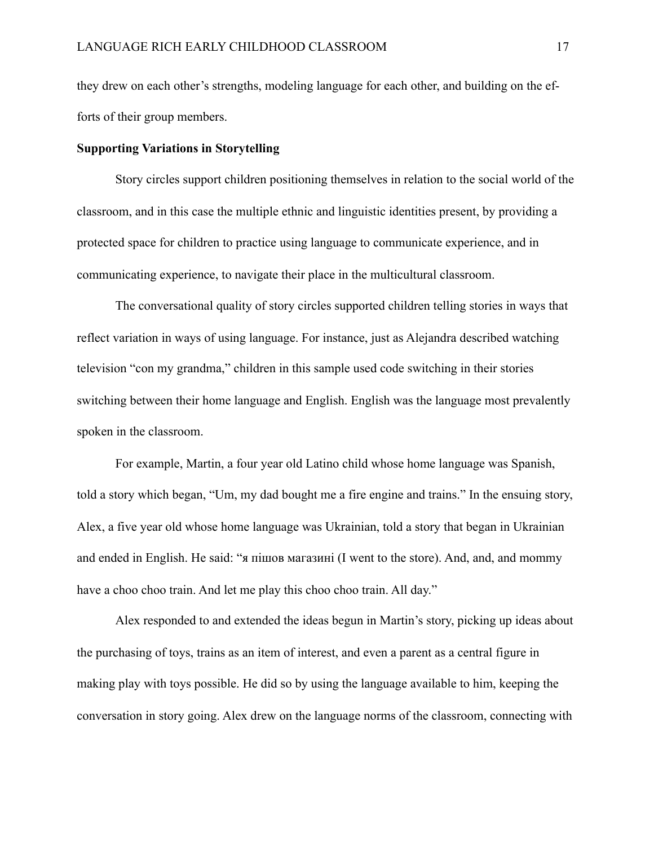they drew on each other's strengths, modeling language for each other, and building on the efforts of their group members.

## **Supporting Variations in Storytelling**

 Story circles support children positioning themselves in relation to the social world of the classroom, and in this case the multiple ethnic and linguistic identities present, by providing a protected space for children to practice using language to communicate experience, and in communicating experience, to navigate their place in the multicultural classroom.

 The conversational quality of story circles supported children telling stories in ways that reflect variation in ways of using language. For instance, just as Alejandra described watching television "con my grandma," children in this sample used code switching in their stories switching between their home language and English. English was the language most prevalently spoken in the classroom.

 For example, Martin, a four year old Latino child whose home language was Spanish, told a story which began, "Um, my dad bought me a fire engine and trains." In the ensuing story, Alex, a five year old whose home language was Ukrainian, told a story that began in Ukrainian and ended in English. He said: "я пішов магазині (I went to the store). And, and, and mommy have a choo choo train. And let me play this choo choo train. All day."

 Alex responded to and extended the ideas begun in Martin's story, picking up ideas about the purchasing of toys, trains as an item of interest, and even a parent as a central figure in making play with toys possible. He did so by using the language available to him, keeping the conversation in story going. Alex drew on the language norms of the classroom, connecting with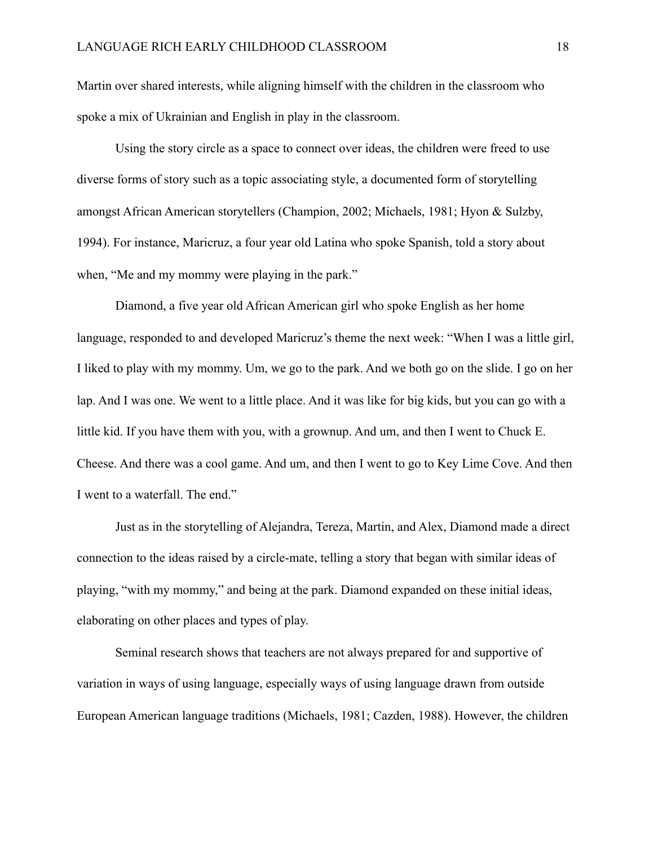Martin over shared interests, while aligning himself with the children in the classroom who spoke a mix of Ukrainian and English in play in the classroom.

 Using the story circle as a space to connect over ideas, the children were freed to use diverse forms of story such as a topic associating style, a documented form of storytelling amongst African American storytellers (Champion, 2002; Michaels, 1981; Hyon & Sulzby, 1994). For instance, Maricruz, a four year old Latina who spoke Spanish, told a story about when, "Me and my mommy were playing in the park."

 Diamond, a five year old African American girl who spoke English as her home language, responded to and developed Maricruz's theme the next week: "When I was a little girl, I liked to play with my mommy. Um, we go to the park. And we both go on the slide. I go on her lap. And I was one. We went to a little place. And it was like for big kids, but you can go with a little kid. If you have them with you, with a grownup. And um, and then I went to Chuck E. Cheese. And there was a cool game. And um, and then I went to go to Key Lime Cove. And then I went to a waterfall. The end."

 Just as in the storytelling of Alejandra, Tereza, Martin, and Alex, Diamond made a direct connection to the ideas raised by a circle-mate, telling a story that began with similar ideas of playing, "with my mommy," and being at the park. Diamond expanded on these initial ideas, elaborating on other places and types of play.

 Seminal research shows that teachers are not always prepared for and supportive of variation in ways of using language, especially ways of using language drawn from outside European American language traditions (Michaels, 1981; Cazden, 1988). However, the children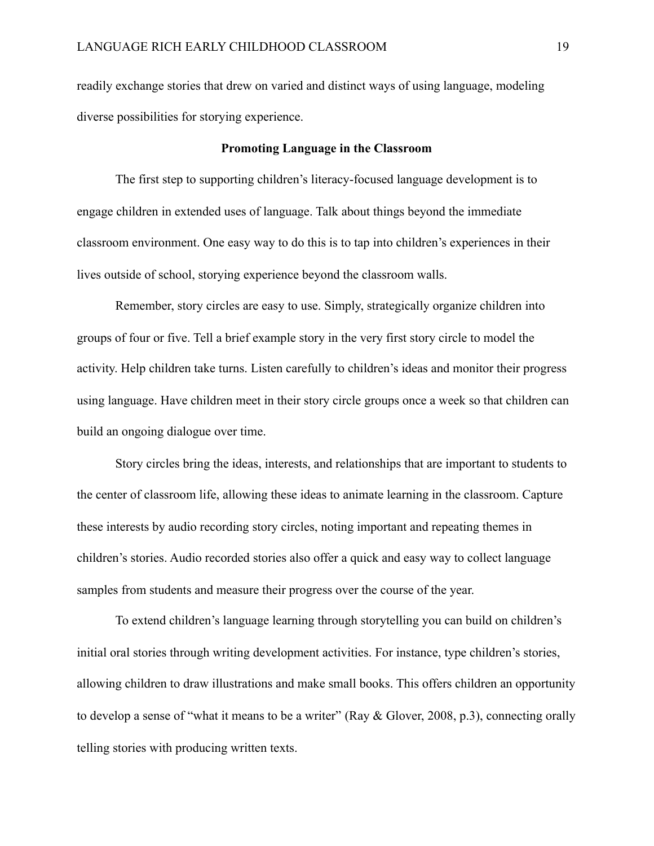readily exchange stories that drew on varied and distinct ways of using language, modeling diverse possibilities for storying experience.

## **Promoting Language in the Classroom**

 The first step to supporting children's literacy-focused language development is to engage children in extended uses of language. Talk about things beyond the immediate classroom environment. One easy way to do this is to tap into children's experiences in their lives outside of school, storying experience beyond the classroom walls.

 Remember, story circles are easy to use. Simply, strategically organize children into groups of four or five. Tell a brief example story in the very first story circle to model the activity. Help children take turns. Listen carefully to children's ideas and monitor their progress using language. Have children meet in their story circle groups once a week so that children can build an ongoing dialogue over time.

 Story circles bring the ideas, interests, and relationships that are important to students to the center of classroom life, allowing these ideas to animate learning in the classroom. Capture these interests by audio recording story circles, noting important and repeating themes in children's stories. Audio recorded stories also offer a quick and easy way to collect language samples from students and measure their progress over the course of the year.

 To extend children's language learning through storytelling you can build on children's initial oral stories through writing development activities. For instance, type children's stories, allowing children to draw illustrations and make small books. This offers children an opportunity to develop a sense of "what it means to be a writer" (Ray & Glover, 2008, p.3), connecting orally telling stories with producing written texts.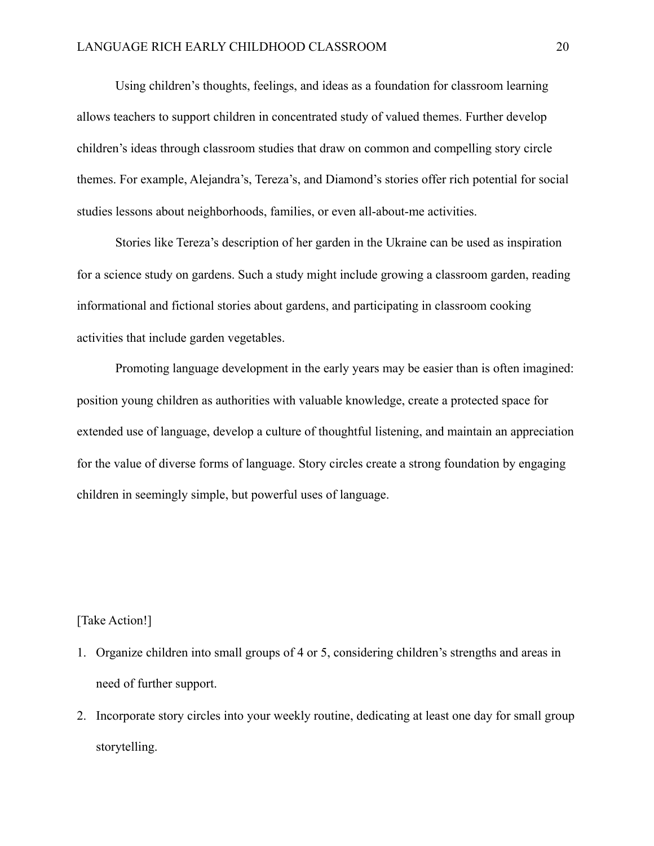Using children's thoughts, feelings, and ideas as a foundation for classroom learning allows teachers to support children in concentrated study of valued themes. Further develop children's ideas through classroom studies that draw on common and compelling story circle themes. For example, Alejandra's, Tereza's, and Diamond's stories offer rich potential for social studies lessons about neighborhoods, families, or even all-about-me activities.

 Stories like Tereza's description of her garden in the Ukraine can be used as inspiration for a science study on gardens. Such a study might include growing a classroom garden, reading informational and fictional stories about gardens, and participating in classroom cooking activities that include garden vegetables.

 Promoting language development in the early years may be easier than is often imagined: position young children as authorities with valuable knowledge, create a protected space for extended use of language, develop a culture of thoughtful listening, and maintain an appreciation for the value of diverse forms of language. Story circles create a strong foundation by engaging children in seemingly simple, but powerful uses of language.

#### [Take Action!]

- 1. Organize children into small groups of 4 or 5, considering children's strengths and areas in need of further support.
- 2. Incorporate story circles into your weekly routine, dedicating at least one day for small group storytelling.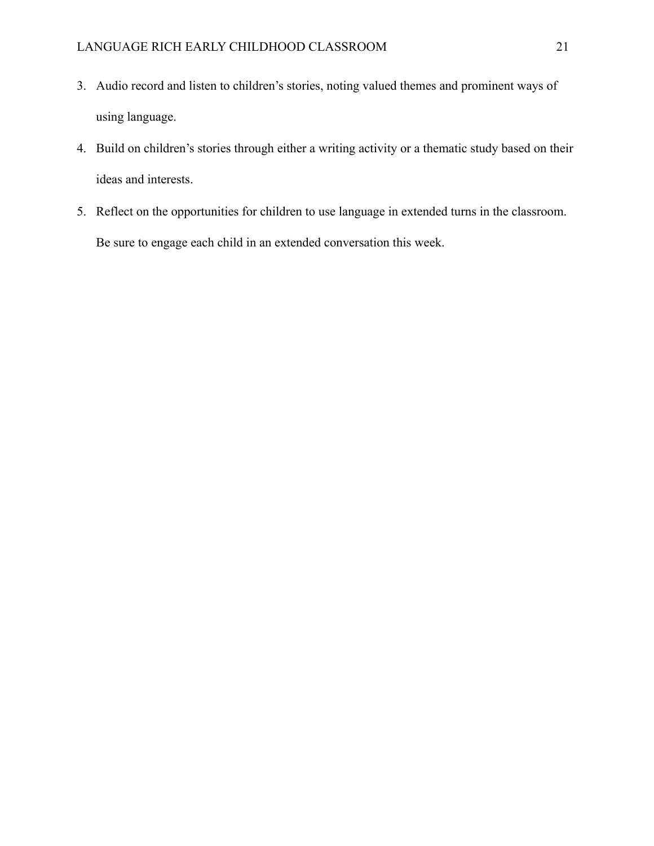- 3. Audio record and listen to children's stories, noting valued themes and prominent ways of using language.
- 4. Build on children's stories through either a writing activity or a thematic study based on their ideas and interests.
- 5. Reflect on the opportunities for children to use language in extended turns in the classroom. Be sure to engage each child in an extended conversation this week.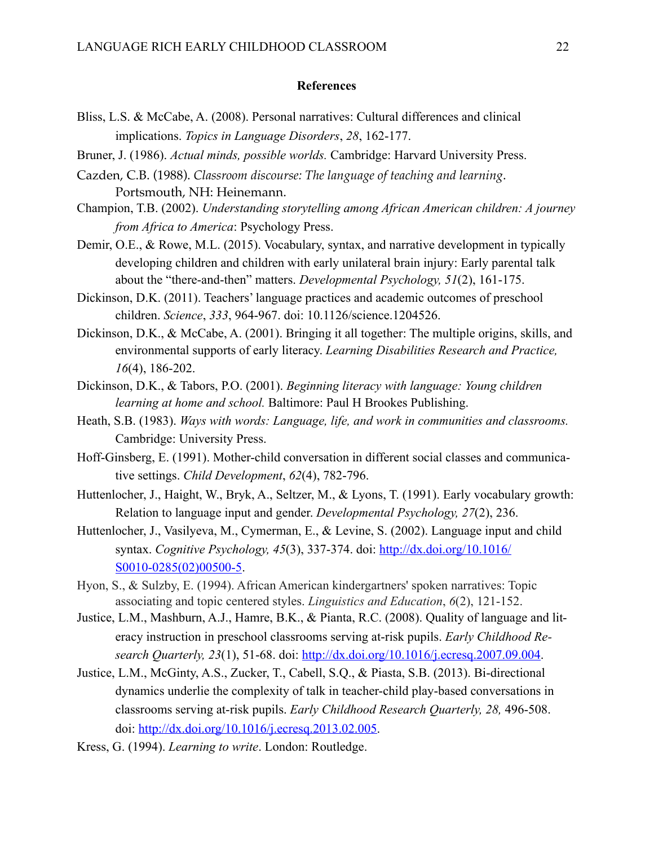#### **References**

- Bliss, L.S. & McCabe, A. (2008). Personal narratives: Cultural differences and clinical implications. *Topics in Language Disorders*, *28*, 162-177.
- Bruner, J. (1986). *Actual minds, possible worlds.* Cambridge: Harvard University Press.
- Cazden, C.B. (1988). *Classroom discourse: The language of teaching and learning*. Portsmouth, NH: Heinemann.
- Champion, T.B. (2002). *Understanding storytelling among African American children: A journey from Africa to America*: Psychology Press.
- Demir, O.E., & Rowe, M.L. (2015). Vocabulary, syntax, and narrative development in typically developing children and children with early unilateral brain injury: Early parental talk about the "there-and-then" matters. *Developmental Psychology, 51*(2), 161-175.
- Dickinson, D.K. (2011). Teachers' language practices and academic outcomes of preschool children. *Science*, *333*, 964-967. doi: 10.1126/science.1204526.
- Dickinson, D.K., & McCabe, A. (2001). Bringing it all together: The multiple origins, skills, and environmental supports of early literacy. *Learning Disabilities Research and Practice, 16*(4), 186-202.
- Dickinson, D.K., & Tabors, P.O. (2001). *Beginning literacy with language: Young children learning at home and school.* Baltimore: Paul H Brookes Publishing.
- Heath, S.B. (1983). *Ways with words: Language, life, and work in communities and classrooms.* Cambridge: University Press.
- Hoff-Ginsberg, E. (1991). Mother-child conversation in different social classes and communicative settings. *Child Development*, *62*(4), 782-796.
- Huttenlocher, J., Haight, W., Bryk, A., Seltzer, M., & Lyons, T. (1991). Early vocabulary growth: Relation to language input and gender. *Developmental Psychology, 27*(2), 236.
- Huttenlocher, J., Vasilyeva, M., Cymerman, E., & Levine, S. (2002). Language input and child syntax. *Cognitive Psychology, 45*(3), 337-374. doi: [http://dx.doi.org/10.1016/](http://dx.doi.org/10.1016/S0010-0285(02)00500-5) [S0010-0285\(02\)00500-5.](http://dx.doi.org/10.1016/S0010-0285(02)00500-5)
- Hyon, S., & Sulzby, E. (1994). African American kindergartners' spoken narratives: Topic associating and topic centered styles. *Linguistics and Education*, *6*(2), 121-152.
- Justice, L.M., Mashburn, A.J., Hamre, B.K., & Pianta, R.C. (2008). Quality of language and literacy instruction in preschool classrooms serving at-risk pupils. *Early Childhood Research Quarterly, 23*(1), 51-68. doi: <http://dx.doi.org/10.1016/j.ecresq.2007.09.004>.
- Justice, L.M., McGinty, A.S., Zucker, T., Cabell, S.Q., & Piasta, S.B. (2013). Bi-directional dynamics underlie the complexity of talk in teacher-child play-based conversations in classrooms serving at-risk pupils. *Early Childhood Research Quarterly, 28,* 496-508. doi: <http://dx.doi.org/10.1016/j.ecresq.2013.02.005>.
- Kress, G. (1994). *Learning to write*. London: Routledge.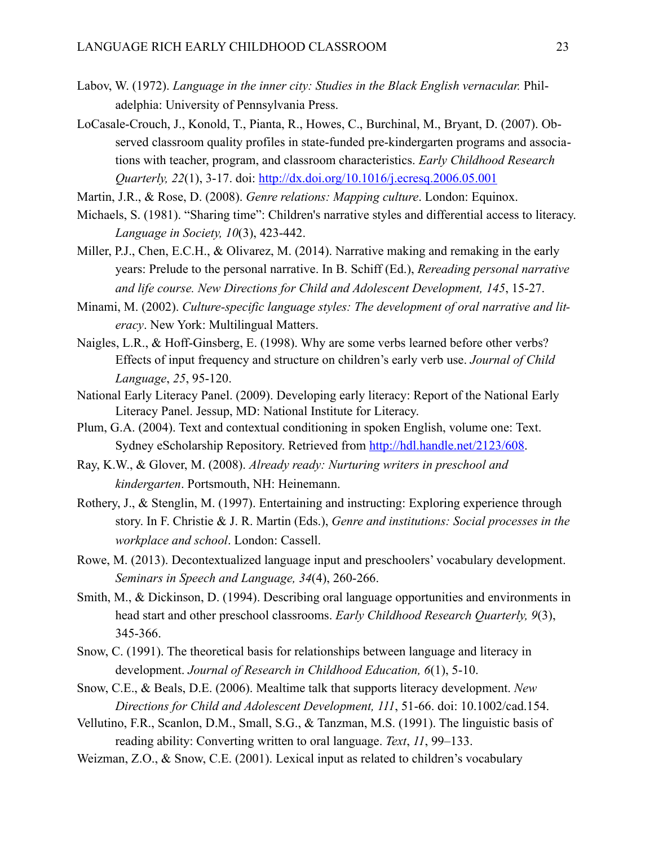- Labov, W. (1972). *Language in the inner city: Studies in the Black English vernacular.* Philadelphia: University of Pennsylvania Press.
- LoCasale-Crouch, J., Konold, T., Pianta, R., Howes, C., Burchinal, M., Bryant, D. (2007). Observed classroom quality profiles in state-funded pre-kindergarten programs and associations with teacher, program, and classroom characteristics. *Early Childhood Research Quarterly, 22*(1), 3-17. doi:<http://dx.doi.org/10.1016/j.ecresq.2006.05.001>
- Martin, J.R., & Rose, D. (2008). *Genre relations: Mapping culture*. London: Equinox.
- Michaels, S. (1981). "Sharing time": Children's narrative styles and differential access to literacy. *Language in Society, 10*(3), 423-442.
- Miller, P.J., Chen, E.C.H., & Olivarez, M. (2014). Narrative making and remaking in the early years: Prelude to the personal narrative. In B. Schiff (Ed.), *Rereading personal narrative and life course. New Directions for Child and Adolescent Development, 145*, 15-27.
- Minami, M. (2002). *Culture-specific language styles: The development of oral narrative and literacy*. New York: Multilingual Matters.
- Naigles, L.R., & Hoff-Ginsberg, E. (1998). Why are some verbs learned before other verbs? Effects of input frequency and structure on children's early verb use. *Journal of Child Language*, *25*, 95-120.
- National Early Literacy Panel. (2009). Developing early literacy: Report of the National Early Literacy Panel. Jessup, MD: National Institute for Literacy.
- Plum, G.A. (2004). Text and contextual conditioning in spoken English, volume one: Text. Sydney eScholarship Repository. Retrieved from <http://hdl.handle.net/2123/608>.
- Ray, K.W., & Glover, M. (2008). *Already ready: Nurturing writers in preschool and kindergarten*. Portsmouth, NH: Heinemann.
- Rothery, J., & Stenglin, M. (1997). Entertaining and instructing: Exploring experience through story. In F. Christie & J. R. Martin (Eds.), *Genre and institutions: Social processes in the workplace and school*. London: Cassell.
- Rowe, M. (2013). Decontextualized language input and preschoolers' vocabulary development. *Seminars in Speech and Language, 34*(4), 260-266.
- Smith, M., & Dickinson, D. (1994). Describing oral language opportunities and environments in head start and other preschool classrooms. *Early Childhood Research Quarterly, 9*(3), 345-366.
- Snow, C. (1991). The theoretical basis for relationships between language and literacy in development. *Journal of Research in Childhood Education, 6*(1), 5-10.
- Snow, C.E., & Beals, D.E. (2006). Mealtime talk that supports literacy development. *New Directions for Child and Adolescent Development, 111*, 51-66. doi: 10.1002/cad.154.
- Vellutino, F.R., Scanlon, D.M., Small, S.G., & Tanzman, M.S. (1991). The linguistic basis of reading ability: Converting written to oral language. *Text*, *11*, 99–133.
- Weizman, Z.O., & Snow, C.E. (2001). Lexical input as related to children's vocabulary